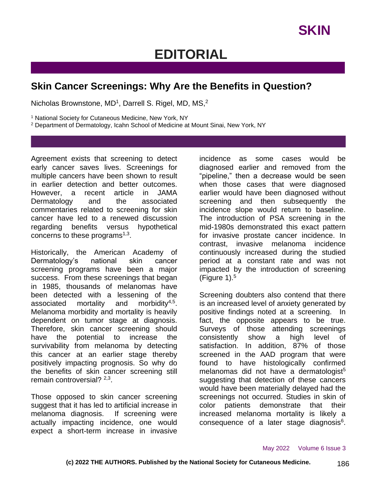## **EDITORIAL**

## **Skin Cancer Screenings: Why Are the Benefits in Question?**

Nicholas Brownstone, MD<sup>1</sup>, Darrell S. Rigel, MD, MS,<sup>2</sup>

<sup>1</sup> National Society for Cutaneous Medicine, New York, NY

<sup>2</sup> Department of Dermatology, Icahn School of Medicine at Mount Sinai, New York, NY

Agreement exists that screening to detect early cancer saves lives. Screenings for multiple cancers have been shown to result in earlier detection and better outcomes. However, a recent article in JAMA Dermatology and the associated commentaries related to screening for skin cancer have led to a renewed discussion regarding benefits versus hypothetical concerns to these programs $1,3$ .

Historically, the American Academy of Dermatology's national skin cancer screening programs have been a major success. From these screenings that began in 1985, thousands of melanomas have been detected with a lessening of the associated mortality and morbidity<sup>4,5</sup>. Melanoma morbidity and mortality is heavily dependent on tumor stage at diagnosis. Therefore, skin cancer screening should have the potential to increase the survivability from melanoma by detecting this cancer at an earlier stage thereby positively impacting prognosis. So why do the benefits of skin cancer screening still remain controversial? <sup>2,3</sup>.

Those opposed to skin cancer screening suggest that it has led to artificial increase in melanoma diagnosis. If screening were actually impacting incidence, one would expect a short-term increase in invasive

incidence as some cases would be diagnosed earlier and removed from the "pipeline," then a decrease would be seen when those cases that were diagnosed earlier would have been diagnosed without screening and then subsequently the incidence slope would return to baseline. The introduction of PSA screening in the mid-1980s demonstrated this exact pattern for invasive prostate cancer incidence. In contrast, invasive melanoma incidence continuously increased during the studied period at a constant rate and was not impacted by the introduction of screening (Figure 1). $5$ 

Screening doubters also contend that there is an increased level of anxiety generated by positive findings noted at a screening. In fact, the opposite appears to be true. Surveys of those attending screenings consistently show a high level of satisfaction. In addition, 87% of those screened in the AAD program that were found to have histologically confirmed melanomas did not have a dermatologist<sup>5</sup> suggesting that detection of these cancers would have been materially delayed had the screenings not occurred. Studies in skin of color patients demonstrate that their increased melanoma mortality is likely a consequence of a later stage diagnosis<sup>6</sup>.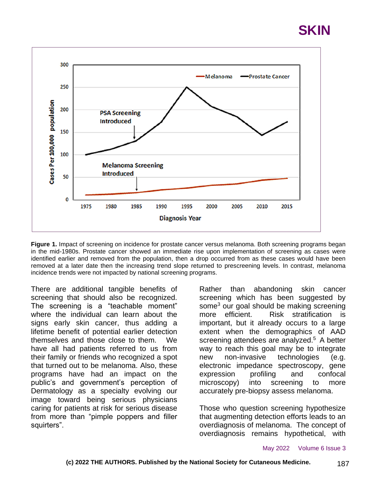



**Figure 1.** Impact of screening on incidence for prostate cancer versus melanoma. Both screening programs began in the mid-1980s. Prostate cancer showed an immediate rise upon implementation of screening as cases were identified earlier and removed from the population, then a drop occurred from as these cases would have been removed at a later date then the increasing trend slope returned to prescreening levels. In contrast, melanoma incidence trends were not impacted by national screening programs.

There are additional tangible benefits of screening that should also be recognized. The screening is a "teachable moment" where the individual can learn about the signs early skin cancer, thus adding a lifetime benefit of potential earlier detection themselves and those close to them. We have all had patients referred to us from their family or friends who recognized a spot that turned out to be melanoma. Also, these programs have had an impact on the public's and government's perception of Dermatology as a specialty evolving our image toward being serious physicians caring for patients at risk for serious disease from more than "pimple poppers and filler squirters".

Rather than abandoning skin cancer screening which has been suggested by some<sup>3</sup> our goal should be making screening more efficient. Risk stratification is important, but it already occurs to a large extent when the demographics of AAD screening attendees are analyzed. $5$  A better way to reach this goal may be to integrate new non-invasive technologies (e.g. electronic impedance spectroscopy, gene expression profiling and confocal microscopy) into screening to more accurately pre-biopsy assess melanoma.

Those who question screening hypothesize that augmenting detection efforts leads to an overdiagnosis of melanoma. The concept of overdiagnosis remains hypothetical, with